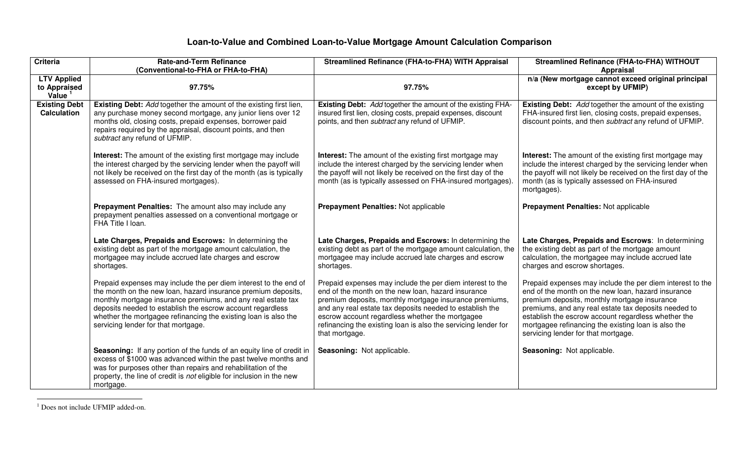## **Loan-to-Value and Combined Loan-to-Value Mortgage Amount Calculation Comparison**

| <b>Criteria</b>                                 | <b>Rate-and-Term Refinance</b><br>(Conventional-to-FHA or FHA-to-FHA)                                                                                                                                                                                                                                                                                                     | <b>Streamlined Refinance (FHA-to-FHA) WITH Appraisal</b>                                                                                                                                                                                                                                                                                                                     | Streamlined Refinance (FHA-to-FHA) WITHOUT<br><b>Appraisal</b>                                                                                                                                                                                                                                                                                                               |
|-------------------------------------------------|---------------------------------------------------------------------------------------------------------------------------------------------------------------------------------------------------------------------------------------------------------------------------------------------------------------------------------------------------------------------------|------------------------------------------------------------------------------------------------------------------------------------------------------------------------------------------------------------------------------------------------------------------------------------------------------------------------------------------------------------------------------|------------------------------------------------------------------------------------------------------------------------------------------------------------------------------------------------------------------------------------------------------------------------------------------------------------------------------------------------------------------------------|
| <b>LTV Applied</b><br>to Appraised<br>Value $1$ | 97.75%                                                                                                                                                                                                                                                                                                                                                                    | 97.75%                                                                                                                                                                                                                                                                                                                                                                       | n/a (New mortgage cannot exceed original principal<br>except by UFMIP)                                                                                                                                                                                                                                                                                                       |
| <b>Existing Debt</b><br><b>Calculation</b>      | Existing Debt: Add together the amount of the existing first lien,<br>any purchase money second mortgage, any junior liens over 12<br>months old, closing costs, prepaid expenses, borrower paid<br>repairs required by the appraisal, discount points, and then<br>subtract any refund of UFMIP.                                                                         | Existing Debt: Add together the amount of the existing FHA-<br>insured first lien, closing costs, prepaid expenses, discount<br>points, and then <i>subtract</i> any refund of UFMIP.                                                                                                                                                                                        | <b>Existing Debt:</b> Add together the amount of the existing<br>FHA-insured first lien, closing costs, prepaid expenses,<br>discount points, and then subtract any refund of UFMIP.                                                                                                                                                                                         |
|                                                 | <b>Interest:</b> The amount of the existing first mortgage may include<br>the interest charged by the servicing lender when the payoff will<br>not likely be received on the first day of the month (as is typically<br>assessed on FHA-insured mortgages).                                                                                                               | <b>Interest:</b> The amount of the existing first mortgage may<br>include the interest charged by the servicing lender when<br>the payoff will not likely be received on the first day of the<br>month (as is typically assessed on FHA-insured mortgages).                                                                                                                  | <b>Interest:</b> The amount of the existing first mortgage may<br>include the interest charged by the servicing lender when<br>the payoff will not likely be received on the first day of the<br>month (as is typically assessed on FHA-insured<br>mortgages).                                                                                                               |
|                                                 | Prepayment Penalties: The amount also may include any<br>prepayment penalties assessed on a conventional mortgage or<br>FHA Title I loan.                                                                                                                                                                                                                                 | Prepayment Penalties: Not applicable                                                                                                                                                                                                                                                                                                                                         | <b>Prepayment Penalties: Not applicable</b>                                                                                                                                                                                                                                                                                                                                  |
|                                                 | Late Charges, Prepaids and Escrows: In determining the<br>existing debt as part of the mortgage amount calculation, the<br>mortgagee may include accrued late charges and escrow<br>shortages.                                                                                                                                                                            | Late Charges, Prepaids and Escrows: In determining the<br>existing debt as part of the mortgage amount calculation, the<br>mortgagee may include accrued late charges and escrow<br>shortages.                                                                                                                                                                               | Late Charges, Prepaids and Escrows: In determining<br>the existing debt as part of the mortgage amount<br>calculation, the mortgagee may include accrued late<br>charges and escrow shortages.                                                                                                                                                                               |
|                                                 | Prepaid expenses may include the per diem interest to the end of<br>the month on the new loan, hazard insurance premium deposits,<br>monthly mortgage insurance premiums, and any real estate tax<br>deposits needed to establish the escrow account regardless<br>whether the mortgagee refinancing the existing loan is also the<br>servicing lender for that mortgage. | Prepaid expenses may include the per diem interest to the<br>end of the month on the new loan, hazard insurance<br>premium deposits, monthly mortgage insurance premiums,<br>and any real estate tax deposits needed to establish the<br>escrow account regardless whether the mortgagee<br>refinancing the existing loan is also the servicing lender for<br>that mortgage. | Prepaid expenses may include the per diem interest to the<br>end of the month on the new loan, hazard insurance<br>premium deposits, monthly mortgage insurance<br>premiums, and any real estate tax deposits needed to<br>establish the escrow account regardless whether the<br>mortgagee refinancing the existing loan is also the<br>servicing lender for that mortgage. |
|                                                 | Seasoning: If any portion of the funds of an equity line of credit in<br>excess of \$1000 was advanced within the past twelve months and<br>was for purposes other than repairs and rehabilitation of the<br>property, the line of credit is not eligible for inclusion in the new<br>mortgage.                                                                           | Seasoning: Not applicable.                                                                                                                                                                                                                                                                                                                                                   | Seasoning: Not applicable.                                                                                                                                                                                                                                                                                                                                                   |

<sup>&</sup>lt;sup>1</sup> Does not include UFMIP added-on.